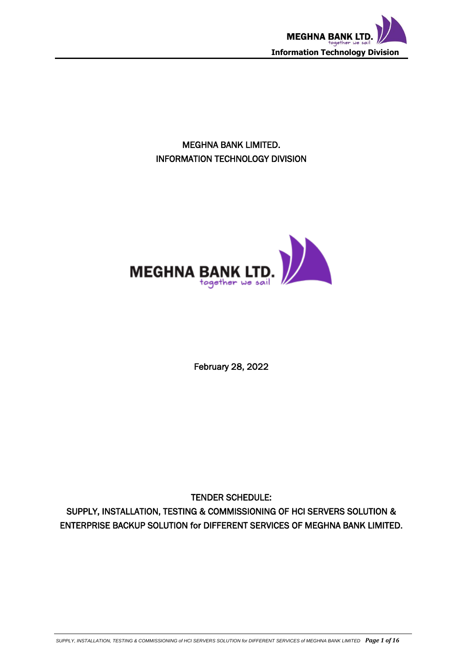

MEGHNA BANK LIMITED. INFORMATION TECHNOLOGY DIVISION



February 28, 2022

TENDER SCHEDULE:

SUPPLY, INSTALLATION, TESTING & COMMISSIONING OF HCI SERVERS SOLUTION & ENTERPRISE BACKUP SOLUTION for DIFFERENT SERVICES OF MEGHNA BANK LIMITED.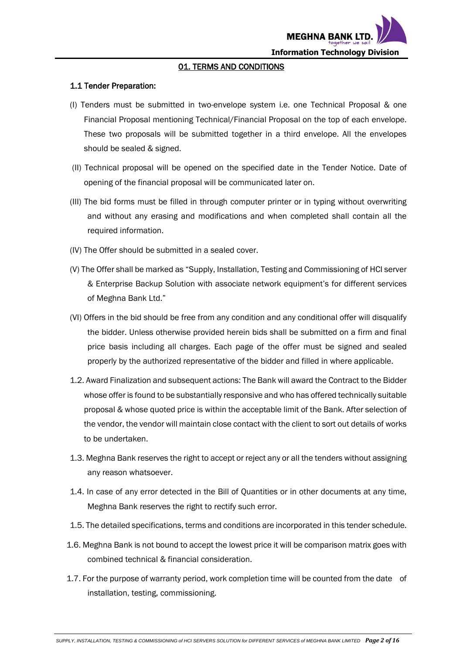

#### 01. TERMS AND CONDITIONS

#### 1.1 Tender Preparation:

- (I) Tenders must be submitted in two-envelope system i.e. one Technical Proposal & one Financial Proposal mentioning Technical/Financial Proposal on the top of each envelope. These two proposals will be submitted together in a third envelope. All the envelopes should be sealed & signed.
- (II) Technical proposal will be opened on the specified date in the Tender Notice. Date of opening of the financial proposal will be communicated later on.
- (III) The bid forms must be filled in through computer printer or in typing without overwriting and without any erasing and modifications and when completed shall contain all the required information.
- (IV) The Offer should be submitted in a sealed cover.
- (V) The Offer shall be marked as "Supply, Installation, Testing and Commissioning of HCI server & Enterprise Backup Solution with associate network equipment's for different services of Meghna Bank Ltd."
- (VI) Offers in the bid should be free from any condition and any conditional offer will disqualify the bidder. Unless otherwise provided herein bids shall be submitted on a firm and final price basis including all charges. Each page of the offer must be signed and sealed properly by the authorized representative of the bidder and filled in where applicable.
- 1.2. Award Finalization and subsequent actions: The Bank will award the Contract to the Bidder whose offer is found to be substantially responsive and who has offered technically suitable proposal & whose quoted price is within the acceptable limit of the Bank. After selection of the vendor, the vendor will maintain close contact with the client to sort out details of works to be undertaken.
- 1.3. Meghna Bank reserves the right to accept or reject any or all the tenders without assigning any reason whatsoever.
- 1.4. In case of any error detected in the Bill of Quantities or in other documents at any time, Meghna Bank reserves the right to rectify such error.
- 1.5. The detailed specifications, terms and conditions are incorporated in this tender schedule.
- 1.6. Meghna Bank is not bound to accept the lowest price it will be comparison matrix goes with combined technical & financial consideration.
- 1.7. For the purpose of warranty period, work completion time will be counted from the date of installation, testing, commissioning.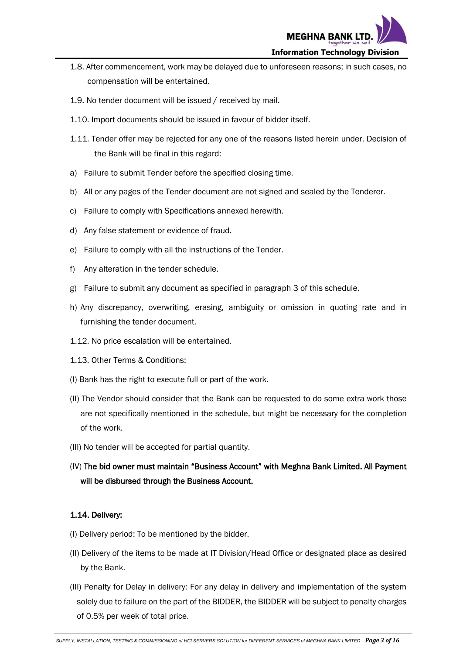

- 1.8. After commencement, work may be delayed due to unforeseen reasons; in such cases, no compensation will be entertained.
- 1.9. No tender document will be issued / received by mail.
- 1.10. Import documents should be issued in favour of bidder itself.
- 1.11. Tender offer may be rejected for any one of the reasons listed herein under. Decision of the Bank will be final in this regard:
- a) Failure to submit Tender before the specified closing time.
- b) All or any pages of the Tender document are not signed and sealed by the Tenderer.
- c) Failure to comply with Specifications annexed herewith.
- d) Any false statement or evidence of fraud.
- e) Failure to comply with all the instructions of the Tender.
- f) Any alteration in the tender schedule.
- g) Failure to submit any document as specified in paragraph 3 of this schedule.
- h) Any discrepancy, overwriting, erasing, ambiguity or omission in quoting rate and in furnishing the tender document.
- 1.12. No price escalation will be entertained.
- 1.13. Other Terms & Conditions:
- (I) Bank has the right to execute full or part of the work.
- (II) The Vendor should consider that the Bank can be requested to do some extra work those are not specifically mentioned in the schedule, but might be necessary for the completion of the work.
- (III) No tender will be accepted for partial quantity.
- (IV) The bid owner must maintain "Business Account" with Meghna Bank Limited. All Payment will be disbursed through the Business Account.

### 1.14. Delivery:

- (I) Delivery period: To be mentioned by the bidder.
- (II) Delivery of the items to be made at IT Division/Head Office or designated place as desired by the Bank.
- (III) Penalty for Delay in delivery: For any delay in delivery and implementation of the system solely due to failure on the part of the BIDDER, the BIDDER will be subject to penalty charges of 0.5% per week of total price.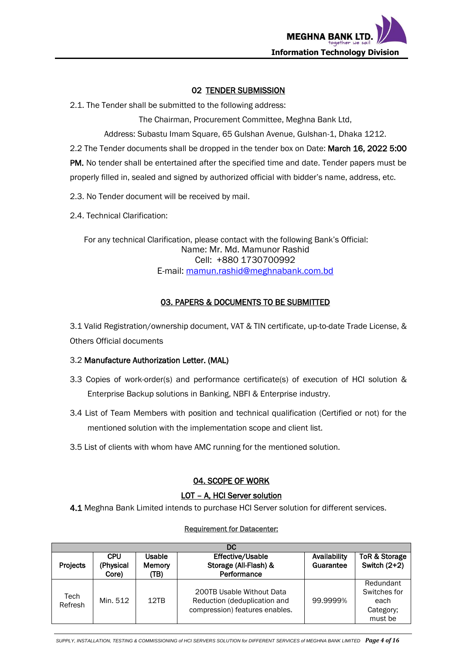

#### 02 TENDER SUBMISSION

2.1. The Tender shall be submitted to the following address:

The Chairman, Procurement Committee, Meghna Bank Ltd,

Address: Subastu Imam Square, 65 Gulshan Avenue, Gulshan-1, Dhaka 1212.

2.2 The Tender documents shall be dropped in the tender box on Date: March 16, 2022 5:00

PM. No tender shall be entertained after the specified time and date. Tender papers must be properly filled in, sealed and signed by authorized official with bidder's name, address, etc.

2.3. No Tender document will be received by mail.

2.4. Technical Clarification:

For any technical Clarification, please contact with the following Bank's Official: Name: Mr. Md. Mamunor Rashid Cell: +880 1730700992 E-mail: [mamun.rashid@meghnabank.com.bd](mailto:mamun.rashid@meghnabank.com.bd)

### 03. PAPERS & DOCUMENTS TO BE SUBMITTED

3.1 Valid Registration/ownership document, VAT & TIN certificate, up-to-date Trade License, & Others Official documents

#### 3.2 Manufacture Authorization Letter. (MAL)

- 3.3 Copies of work-order(s) and performance certificate(s) of execution of HCI solution & Enterprise Backup solutions in Banking, NBFI & Enterprise industry.
- 3.4 List of Team Members with position and technical qualification (Certified or not) for the mentioned solution with the implementation scope and client list.
- 3.5 List of clients with whom have AMC running for the mentioned solution.

### 04. SCOPE OF WORK

## LOT - A, HCI Server solution

4.1 Meghna Bank Limited intends to purchase HCI Server solution for different services.

# Requirement for Datacenter:

| DC              |                                  |                                 |                                                                                             |                           |                                                           |
|-----------------|----------------------------------|---------------------------------|---------------------------------------------------------------------------------------------|---------------------------|-----------------------------------------------------------|
| <b>Projects</b> | <b>CPU</b><br>(Physical<br>Core) | Usable<br><b>Memory</b><br>(TB) | Effective/Usable<br>Storage (All-Flash) &<br>Performance                                    | Availability<br>Guarantee | ToR & Storage<br>Switch $(2+2)$                           |
| Tech<br>Refresh | Min. 512                         | 12TB                            | 200TB Usable Without Data<br>Reduction (deduplication and<br>compression) features enables. | 99.9999%                  | Redundant<br>Switches for<br>each<br>Category;<br>must be |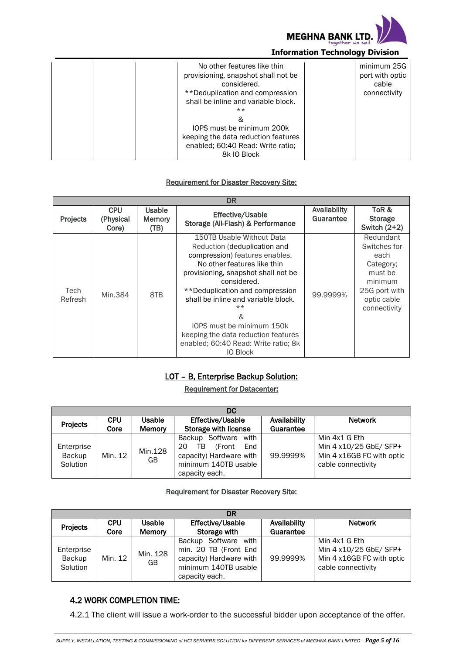

| No other features like thin         | minimum 25G     |
|-------------------------------------|-----------------|
| provisioning, snapshot shall not be | port with optic |
|                                     |                 |
| considered.                         | cable           |
| **Deduplication and compression     | connectivity    |
| shall be inline and variable block. |                 |
| $***$                               |                 |
| 8                                   |                 |
| IOPS must be minimum 200k           |                 |
| keeping the data reduction features |                 |
| enabled; 60:40 Read: Write ratio;   |                 |
| 8k IO Block                         |                 |

#### Requirement for Disaster Recovery Site:

|                 | DR                               |                                 |                                                                                                                                                                                                                                                                                                                                                                                                        |                           |                                                                                                                      |
|-----------------|----------------------------------|---------------------------------|--------------------------------------------------------------------------------------------------------------------------------------------------------------------------------------------------------------------------------------------------------------------------------------------------------------------------------------------------------------------------------------------------------|---------------------------|----------------------------------------------------------------------------------------------------------------------|
| Projects        | <b>CPU</b><br>(Physical<br>Core) | Usable<br><b>Memory</b><br>(TB) | <b>Effective/Usable</b><br>Storage (All-Flash) & Performance                                                                                                                                                                                                                                                                                                                                           | Availability<br>Guarantee | ToR &<br><b>Storage</b><br>Switch (2+2)                                                                              |
| Tech<br>Refresh | Min.384                          | 8TB                             | 150TB Usable Without Data<br>Reduction (deduplication and<br>compression) features enables.<br>No other features like thin<br>provisioning, snapshot shall not be<br>considered.<br>**Deduplication and compression<br>shall be inline and variable block.<br>$**$<br>&<br>IOPS must be minimum 150k<br>keeping the data reduction features<br>enabled; 60:40 Read: Write ratio; 8k<br><b>IO Block</b> | 99.9999%                  | Redundant<br>Switches for<br>each<br>Category;<br>must be<br>minimum<br>25G port with<br>optic cable<br>connectivity |

### LOT – B, Enterprise Backup Solution:

#### Requirement for Datacenter:

|                                  | DC                 |                                |                                                                                                                         |                           |                                                                                            |
|----------------------------------|--------------------|--------------------------------|-------------------------------------------------------------------------------------------------------------------------|---------------------------|--------------------------------------------------------------------------------------------|
| Projects                         | <b>CPU</b><br>Core | <b>Usable</b><br><b>Memory</b> | <b>Effective/Usable</b><br>Storage with license                                                                         | Availability<br>Guarantee | <b>Network</b>                                                                             |
| Enterprise<br>Backup<br>Solution | Min. 12            | Min.128<br>GB                  | Backup Software with<br>20<br>(Front)<br>TB<br>End<br>capacity) Hardware with<br>minimum 140TB usable<br>capacity each. | 99.9999%                  | Min 4x1 G Eth<br>Min 4 x10/25 GbE/ SFP+<br>Min 4 x16GB FC with optic<br>cable connectivity |

#### Requirement for Disaster Recovery Site:

|                                  | DR         |                |                                                                                                                    |              |                                                                                            |
|----------------------------------|------------|----------------|--------------------------------------------------------------------------------------------------------------------|--------------|--------------------------------------------------------------------------------------------|
| Projects                         | <b>CPU</b> | Usable         | Effective/Usable                                                                                                   | Availability | <b>Network</b>                                                                             |
|                                  | Core       | <b>Memory</b>  | Storage with                                                                                                       | Guarantee    |                                                                                            |
| Enterprise<br>Backup<br>Solution | Min. 12    | Min. 128<br>GB | Backup Software with<br>min. 20 TB (Front End<br>capacity) Hardware with<br>minimum 140TB usable<br>capacity each. | 99.9999%     | Min 4x1 G Eth<br>Min 4 x10/25 GbE/ SFP+<br>Min 4 x16GB FC with optic<br>cable connectivity |

# 4.2 WORK COMPLETION TIME:

4.2.1 The client will issue a work-order to the successful bidder upon acceptance of the offer.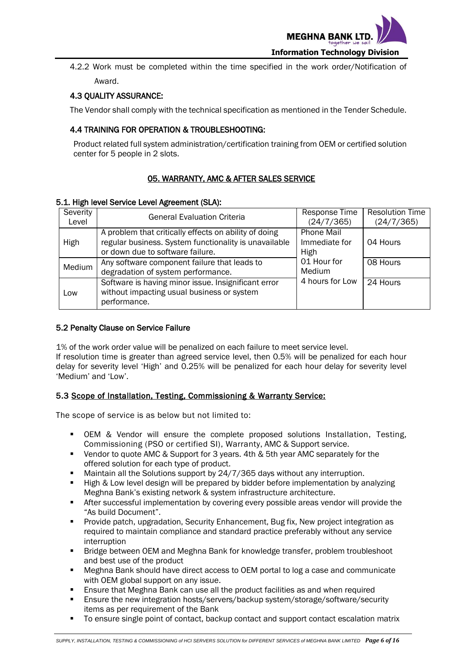

4.2.2 Work must be completed within the time specified in the work order/Notification of Award.

### 4.3 QUALITY ASSURANCE:

The Vendor shall comply with the technical specification as mentioned in the Tender Schedule.

### 4.4 TRAINING FOR OPERATION & TROUBLESHOOTING:

Product related full system administration/certification training from OEM or certified solution center for 5 people in 2 slots.

## 05. WARRANTY, AMC & AFTER SALES SERVICE

#### 5.1. High level Service Level Agreement (SLA):

| Severity<br>Level | <b>General Evaluation Criteria</b>                                                                                                                 | Response Time<br>(24/7/365)                | <b>Resolution Time</b><br>(24/7/365) |
|-------------------|----------------------------------------------------------------------------------------------------------------------------------------------------|--------------------------------------------|--------------------------------------|
| High              | A problem that critically effects on ability of doing<br>regular business. System functionality is unavailable<br>or down due to software failure. | <b>Phone Mail</b><br>Immediate for<br>High | 04 Hours                             |
| Medium            | Any software component failure that leads to<br>degradation of system performance.                                                                 | 01 Hour for<br>Medium                      | 08 Hours                             |
| Low               | Software is having minor issue. Insignificant error<br>without impacting usual business or system<br>performance.                                  | 4 hours for Low                            | $\overline{2}$ 4 Hours               |

#### 5.2 Penalty Clause on Service Failure

1% of the work order value will be penalized on each failure to meet service level. If resolution time is greater than agreed service level, then 0.5% will be penalized for each hour delay for severity level 'High' and 0.25% will be penalized for each hour delay for severity level 'Medium' and 'Low'.

### 5.3 Scope of Installation, Testing, Commissioning & Warranty Service:

The scope of service is as below but not limited to:

- OEM & Vendor will ensure the complete proposed solutions Installation, Testing, Commissioning (PSO or certified SI), Warranty, AMC & Support service.
- Vendor to quote AMC & Support for 3 years. 4th & 5th year AMC separately for the offered solution for each type of product.
- **Maintain all the Solutions support by 24/7/365 days without any interruption.**
- **High & Low level design will be prepared by bidder before implementation by analyzing** Meghna Bank's existing network & system infrastructure architecture.
- After successful implementation by covering every possible areas vendor will provide the "As build Document".
- Provide patch, upgradation, Security Enhancement, Bug fix, New project integration as required to maintain compliance and standard practice preferably without any service interruption
- **Bridge between OEM and Meghna Bank for knowledge transfer, problem troubleshoot** and best use of the product
- Meghna Bank should have direct access to OEM portal to log a case and communicate with OEM global support on any issue.
- Ensure that Meghna Bank can use all the product facilities as and when required
- **Ensure the new integration hosts/servers/backup system/storage/software/security** items as per requirement of the Bank
- To ensure single point of contact, backup contact and support contact escalation matrix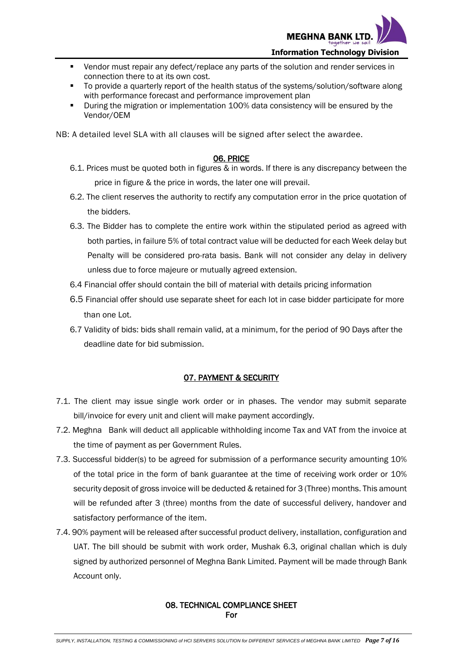

- Vendor must repair any defect/replace any parts of the solution and render services in connection there to at its own cost.
- To provide a quarterly report of the health status of the systems/solution/software along with performance forecast and performance improvement plan
- **During the migration or implementation 100% data consistency will be ensured by the** Vendor/OEM

NB: A detailed level SLA with all clauses will be signed after select the awardee.

#### 06. PRICE

- 6.1. Prices must be quoted both in figures & in words. If there is any discrepancy between the price in figure & the price in words, the later one will prevail.
- 6.2. The client reserves the authority to rectify any computation error in the price quotation of the bidders.
- 6.3. The Bidder has to complete the entire work within the stipulated period as agreed with both parties, in failure 5% of total contract value will be deducted for each Week delay but Penalty will be considered pro-rata basis. Bank will not consider any delay in delivery unless due to force majeure or mutually agreed extension.
- 6.4 Financial offer should contain the bill of material with details pricing information
- 6.5 Financial offer should use separate sheet for each lot in case bidder participate for more than one Lot.
- 6.7 Validity of bids: bids shall remain valid, at a minimum, for the period of 90 Days after the deadline date for bid submission.

#### 07. PAYMENT & SECURITY

- 7.1. The client may issue single work order or in phases. The vendor may submit separate bill/invoice for every unit and client will make payment accordingly.
- 7.2. Meghna Bank will deduct all applicable withholding income Tax and VAT from the invoice at the time of payment as per Government Rules.
- 7.3. Successful bidder(s) to be agreed for submission of a performance security amounting 10% of the total price in the form of bank guarantee at the time of receiving work order or 10% security deposit of gross invoice will be deducted & retained for 3 (Three) months. This amount will be refunded after 3 (three) months from the date of successful delivery, handover and satisfactory performance of the item.
- 7.4. 90% payment will be released after successful product delivery, installation, configuration and UAT. The bill should be submit with work order, Mushak 6.3, original challan which is duly signed by authorized personnel of Meghna Bank Limited. Payment will be made through Bank Account only.

#### 08. TECHNICAL COMPLIANCE SHEET For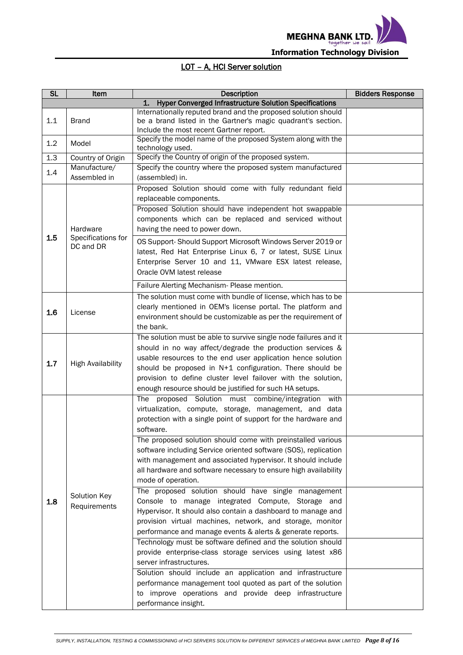

# LOT – A, HCI Server solution

| <b>SL</b> | Item                         | <b>Description</b>                                                                                      | <b>Bidders Response</b> |
|-----------|------------------------------|---------------------------------------------------------------------------------------------------------|-------------------------|
|           |                              | <b>Hyper Converged Infrastructure Solution Specifications</b><br>1.                                     |                         |
|           |                              | Internationally reputed brand and the proposed solution should                                          |                         |
| 1.1       | <b>Brand</b>                 | be a brand listed in the Gartner's magic quadrant's section.                                            |                         |
|           |                              | Include the most recent Gartner report.<br>Specify the model name of the proposed System along with the |                         |
| 1.2       | Model                        | technology used.                                                                                        |                         |
| 1.3       | Country of Origin            | Specify the Country of origin of the proposed system.                                                   |                         |
| 1.4       | Manufacture/                 | Specify the country where the proposed system manufactured                                              |                         |
|           | Assembled in                 | (assembled) in.                                                                                         |                         |
|           |                              | Proposed Solution should come with fully redundant field                                                |                         |
|           |                              | replaceable components.                                                                                 |                         |
|           |                              | Proposed Solution should have independent hot swappable                                                 |                         |
|           |                              | components which can be replaced and serviced without                                                   |                         |
|           | Hardware                     | having the need to power down.                                                                          |                         |
| 1.5       | Specifications for           | OS Support-Should Support Microsoft Windows Server 2019 or                                              |                         |
|           | DC and DR                    | latest, Red Hat Enterprise Linux 6, 7 or latest, SUSE Linux                                             |                         |
|           |                              | Enterprise Server 10 and 11, VMware ESX latest release,                                                 |                         |
|           |                              | Oracle OVM latest release                                                                               |                         |
|           |                              | Failure Alerting Mechanism- Please mention.                                                             |                         |
|           |                              | The solution must come with bundle of license, which has to be                                          |                         |
|           |                              | clearly mentioned in OEM's license portal. The platform and                                             |                         |
| 1.6       | License                      | environment should be customizable as per the requirement of                                            |                         |
|           |                              | the bank.                                                                                               |                         |
|           |                              | The solution must be able to survive single node failures and it                                        |                         |
|           |                              | should in no way affect/degrade the production services &                                               |                         |
|           |                              | usable resources to the end user application hence solution                                             |                         |
| 1.7       | <b>High Availability</b>     | should be proposed in N+1 configuration. There should be                                                |                         |
|           |                              | provision to define cluster level failover with the solution,                                           |                         |
|           |                              | enough resource should be justified for such HA setups.                                                 |                         |
|           |                              | The proposed Solution must combine/integration<br>with                                                  |                         |
|           |                              | virtualization, compute, storage, management, and data                                                  |                         |
|           |                              | protection with a single point of support for the hardware and                                          |                         |
|           |                              | software.                                                                                               |                         |
|           |                              | The proposed solution should come with preinstalled various                                             |                         |
|           |                              | software including Service oriented software (SOS), replication                                         |                         |
|           |                              | with management and associated hypervisor. It should include                                            |                         |
|           |                              | all hardware and software necessary to ensure high availability                                         |                         |
|           |                              | mode of operation.                                                                                      |                         |
|           |                              | The proposed solution should have single management                                                     |                         |
| 1.8       | Solution Key<br>Requirements | Console to manage integrated Compute, Storage and                                                       |                         |
|           |                              | Hypervisor. It should also contain a dashboard to manage and                                            |                         |
|           |                              | provision virtual machines, network, and storage, monitor                                               |                         |
|           |                              | performance and manage events & alerts & generate reports.                                              |                         |
|           |                              | Technology must be software defined and the solution should                                             |                         |
|           |                              | provide enterprise-class storage services using latest x86                                              |                         |
|           |                              | server infrastructures.                                                                                 |                         |
|           |                              | Solution should include an application and infrastructure                                               |                         |
|           |                              | performance management tool quoted as part of the solution                                              |                         |
|           |                              | improve operations and provide deep infrastructure<br>to                                                |                         |
|           |                              | performance insight.                                                                                    |                         |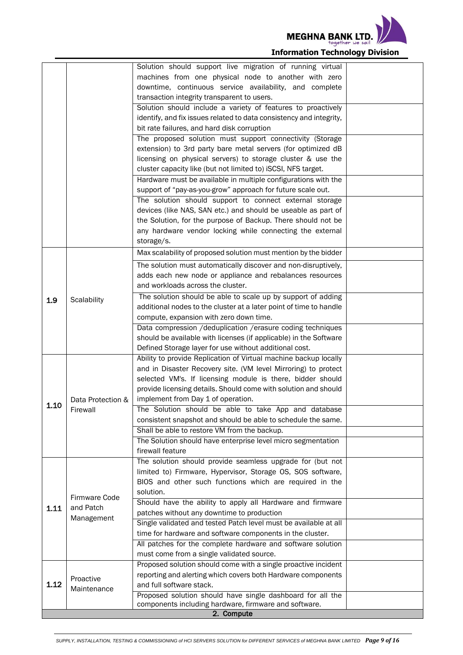

|      |                   | Solution should support live migration of running virtual                                |  |
|------|-------------------|------------------------------------------------------------------------------------------|--|
|      |                   | machines from one physical node to another with zero                                     |  |
|      |                   | downtime, continuous service availability, and complete                                  |  |
|      |                   | transaction integrity transparent to users.                                              |  |
|      |                   | Solution should include a variety of features to proactively                             |  |
|      |                   | identify, and fix issues related to data consistency and integrity,                      |  |
|      |                   | bit rate failures, and hard disk corruption                                              |  |
|      |                   | The proposed solution must support connectivity (Storage                                 |  |
|      |                   | extension) to 3rd party bare metal servers (for optimized dB                             |  |
|      |                   | licensing on physical servers) to storage cluster & use the                              |  |
|      |                   | cluster capacity like (but not limited to) iSCSI, NFS target.                            |  |
|      |                   | Hardware must be available in multiple configurations with the                           |  |
|      |                   | support of "pay-as-you-grow" approach for future scale out.                              |  |
|      |                   | The solution should support to connect external storage                                  |  |
|      |                   | devices (like NAS, SAN etc.) and should be useable as part of                            |  |
|      |                   | the Solution, for the purpose of Backup. There should not be                             |  |
|      |                   | any hardware vendor locking while connecting the external                                |  |
|      |                   | storage/s.                                                                               |  |
|      |                   | Max scalability of proposed solution must mention by the bidder                          |  |
|      |                   | The solution must automatically discover and non-disruptively,                           |  |
|      |                   | adds each new node or appliance and rebalances resources                                 |  |
|      |                   | and workloads across the cluster.                                                        |  |
|      | Scalability       | The solution should be able to scale up by support of adding                             |  |
| 1.9  |                   | additional nodes to the cluster at a later point of time to handle                       |  |
|      |                   | compute, expansion with zero down time.                                                  |  |
|      |                   | Data compression /deduplication /erasure coding techniques                               |  |
|      |                   | should be available with licenses (if applicable) in the Software                        |  |
|      |                   | Defined Storage layer for use without additional cost.                                   |  |
|      |                   | Ability to provide Replication of Virtual machine backup locally                         |  |
|      |                   | and in Disaster Recovery site. (VM level Mirroring) to protect                           |  |
|      |                   | selected VM's. If licensing module is there, bidder should                               |  |
|      |                   | provide licensing details. Should come with solution and should                          |  |
|      | Data Protection & | implement from Day 1 of operation.                                                       |  |
| 1.10 | Firewall          | The Solution should be able to take App and database                                     |  |
|      |                   | consistent snapshot and should be able to schedule the same.                             |  |
|      |                   |                                                                                          |  |
|      |                   | Shall be able to restore VM from the backup.                                             |  |
|      |                   | The Solution should have enterprise level micro segmentation<br>firewall feature         |  |
|      |                   | The solution should provide seamless upgrade for (but not                                |  |
|      |                   | limited to) Firmware, Hypervisor, Storage OS, SOS software,                              |  |
|      |                   | BIOS and other such functions which are required in the                                  |  |
|      |                   | solution.                                                                                |  |
|      | Firmware Code     | Should have the ability to apply all Hardware and firmware                               |  |
| 1.11 | and Patch         | patches without any downtime to production                                               |  |
|      | Management        | Single validated and tested Patch level must be available at all                         |  |
|      |                   | time for hardware and software components in the cluster.                                |  |
|      |                   | All patches for the complete hardware and software solution                              |  |
|      |                   | must come from a single validated source.                                                |  |
|      |                   |                                                                                          |  |
|      |                   | Proposed solution should come with a single proactive incident                           |  |
| 1.12 | Proactive         | reporting and alerting which covers both Hardware components<br>and full software stack. |  |
|      | Maintenance       | Proposed solution should have single dashboard for all the                               |  |
|      |                   | components including hardware, firmware and software.                                    |  |
|      |                   | 2. Compute                                                                               |  |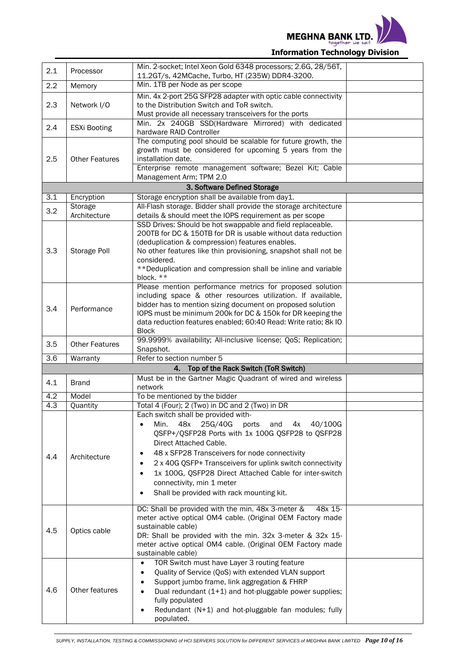

| 2.1              | Processor               | Min. 2-socket; Intel Xeon Gold 6348 processors; 2.6G, 28/56T,<br>11.2GT/s, 42MCache, Turbo, HT (235W) DDR4-3200.                                                                                                                                                                                                                                                                                                                                              |  |
|------------------|-------------------------|---------------------------------------------------------------------------------------------------------------------------------------------------------------------------------------------------------------------------------------------------------------------------------------------------------------------------------------------------------------------------------------------------------------------------------------------------------------|--|
| 2.2              | Memory                  | Min. 1TB per Node as per scope                                                                                                                                                                                                                                                                                                                                                                                                                                |  |
| 2.3              | Network I/O             | Min. 4x 2-port 25G SFP28 adapter with optic cable connectivity<br>to the Distribution Switch and ToR switch.<br>Must provide all necessary transceivers for the ports                                                                                                                                                                                                                                                                                         |  |
| 2.4              | <b>ESXi Booting</b>     | Min. 2x 240GB SSD(Hardware Mirrored) with dedicated<br>hardware RAID Controller                                                                                                                                                                                                                                                                                                                                                                               |  |
| 2.5              | <b>Other Features</b>   | The computing pool should be scalable for future growth, the<br>growth must be considered for upcoming 5 years from the<br>installation date.<br>Enterprise remote management software; Bezel Kit; Cable<br>Management Arm; TPM 2.0                                                                                                                                                                                                                           |  |
|                  |                         | 3. Software Defined Storage                                                                                                                                                                                                                                                                                                                                                                                                                                   |  |
| 3.1              | Encryption              | Storage encryption shall be available from day1.                                                                                                                                                                                                                                                                                                                                                                                                              |  |
| 3.2              | Storage<br>Architecture | All-Flash storage. Bidder shall provide the storage architecture<br>details & should meet the IOPS requirement as per scope                                                                                                                                                                                                                                                                                                                                   |  |
| 3.3              | Storage Poll            | SSD Drives: Should be hot swappable and field replaceable.<br>200TB for DC & 150TB for DR is usable without data reduction<br>(deduplication & compression) features enables.<br>No other features like thin provisioning, snapshot shall not be<br>considered.<br>** Deduplication and compression shall be inline and variable<br>block. **                                                                                                                 |  |
| 3.4              | Performance             | Please mention performance metrics for proposed solution<br>including space & other resources utilization. If available,<br>bidder has to mention sizing document on proposed solution<br>IOPS must be minimum 200k for DC & 150k for DR keeping the<br>data reduction features enabled; 60:40 Read: Write ratio; 8k IO<br><b>Block</b>                                                                                                                       |  |
| 3.5              | <b>Other Features</b>   | 99.9999% availability; All-inclusive license; QoS; Replication;<br>Snapshot.                                                                                                                                                                                                                                                                                                                                                                                  |  |
| $\overline{3.6}$ | Warranty                | Refer to section number 5                                                                                                                                                                                                                                                                                                                                                                                                                                     |  |
|                  |                         | Top of the Rack Switch (ToR Switch)<br>4.                                                                                                                                                                                                                                                                                                                                                                                                                     |  |
| 4.1              | <b>Brand</b>            | Must be in the Gartner Magic Quadrant of wired and wireless<br>network                                                                                                                                                                                                                                                                                                                                                                                        |  |
| 4.2              | Model                   | To be mentioned by the bidder                                                                                                                                                                                                                                                                                                                                                                                                                                 |  |
| 4.3              | Quantity                | Total 4 (Four); 2 (Two) in DC and 2 (Two) in DR                                                                                                                                                                                                                                                                                                                                                                                                               |  |
| 4.4              | Architecture            | Each switch shall be provided with-<br>Min.<br>48x<br>25G/40G<br>40/100G<br>ports<br>and<br>4х<br>QSFP+/QSFP28 Ports with 1x 100G QSFP28 to QSFP28<br>Direct Attached Cable.<br>48 x SFP28 Transceivers for node connectivity<br>٠<br>2 x 40G QSFP+ Transceivers for uplink switch connectivity<br>1x 100G, QSFP28 Direct Attached Cable for inter-switch<br>$\bullet$<br>connectivity, min 1 meter<br>Shall be provided with rack mounting kit.<br>$\bullet$ |  |
| 4.5              | Optics cable            | DC: Shall be provided with the min. 48x 3-meter &<br>48x 15-<br>meter active optical OM4 cable. (Original OEM Factory made<br>sustainable cable)<br>DR: Shall be provided with the min. 32x 3-meter & 32x 15-<br>meter active optical OM4 cable. (Original OEM Factory made<br>sustainable cable)                                                                                                                                                             |  |
| 4.6              | Other features          | TOR Switch must have Layer 3 routing feature<br>$\bullet$<br>Quality of Service (QoS) with extended VLAN support<br>Support jumbo frame, link aggregation & FHRP<br>Dual redundant (1+1) and hot-pluggable power supplies;<br>fully populated<br>Redundant (N+1) and hot-pluggable fan modules; fully<br>populated.                                                                                                                                           |  |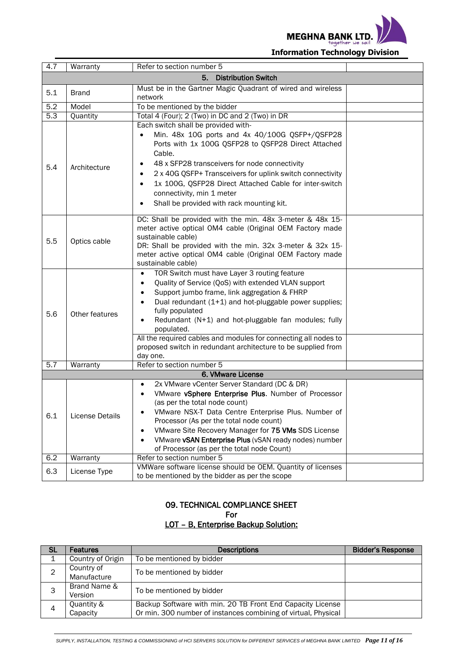

| 4.7 | Warranty        | Refer to section number 5                                                                                                                                                                                                                                                                                                                                                                                                                              |  |
|-----|-----------------|--------------------------------------------------------------------------------------------------------------------------------------------------------------------------------------------------------------------------------------------------------------------------------------------------------------------------------------------------------------------------------------------------------------------------------------------------------|--|
|     |                 | 5. Distribution Switch                                                                                                                                                                                                                                                                                                                                                                                                                                 |  |
| 5.1 | <b>Brand</b>    | Must be in the Gartner Magic Quadrant of wired and wireless<br>network                                                                                                                                                                                                                                                                                                                                                                                 |  |
| 5.2 | Model           | To be mentioned by the bidder                                                                                                                                                                                                                                                                                                                                                                                                                          |  |
| 5.3 | Quantity        | Total 4 (Four); 2 (Two) in DC and 2 (Two) in DR                                                                                                                                                                                                                                                                                                                                                                                                        |  |
| 5.4 | Architecture    | Each switch shall be provided with-<br>Min. 48x 10G ports and 4x 40/100G QSFP+/QSFP28<br>$\bullet$<br>Ports with 1x 100G QSFP28 to QSFP28 Direct Attached<br>Cable.<br>48 x SFP28 transceivers for node connectivity<br>2 x 40G QSFP+ Transceivers for uplink switch connectivity<br>1x 100G, QSFP28 Direct Attached Cable for inter-switch<br>$\bullet$<br>connectivity, min 1 meter<br>Shall be provided with rack mounting kit.                     |  |
| 5.5 | Optics cable    | DC: Shall be provided with the min. 48x 3-meter & 48x 15-<br>meter active optical OM4 cable (Original OEM Factory made<br>sustainable cable)<br>DR: Shall be provided with the min. 32x 3-meter & 32x 15-<br>meter active optical OM4 cable (Original OEM Factory made<br>sustainable cable)                                                                                                                                                           |  |
| 5.6 | Other features  | TOR Switch must have Layer 3 routing feature<br>Quality of Service (QoS) with extended VLAN support<br>Support jumbo frame, link aggregation & FHRP<br>Dual redundant (1+1) and hot-pluggable power supplies;<br>fully populated<br>Redundant (N+1) and hot-pluggable fan modules; fully<br>populated.<br>All the required cables and modules for connecting all nodes to<br>proposed switch in redundant architecture to be supplied from<br>day one. |  |
| 5.7 | Warranty        | Refer to section number 5                                                                                                                                                                                                                                                                                                                                                                                                                              |  |
|     |                 | 6. VMware License                                                                                                                                                                                                                                                                                                                                                                                                                                      |  |
| 6.1 | License Details | 2x VMware vCenter Server Standard (DC & DR)<br>VMware vSphere Enterprise Plus. Number of Processor<br>(as per the total node count)<br>VMware NSX-T Data Centre Enterprise Plus. Number of<br>Processor (As per the total node count)<br>VMware Site Recovery Manager for 75 VMs SDS License<br>VMware vSAN Enterprise Plus (vSAN ready nodes) number<br>$\bullet$<br>of Processor (as per the total node Count)                                       |  |
| 6.2 | Warranty        | Refer to section number 5                                                                                                                                                                                                                                                                                                                                                                                                                              |  |
| 6.3 | License Type    | VMWare software license should be OEM. Quantity of licenses<br>to be mentioned by the bidder as per the scope                                                                                                                                                                                                                                                                                                                                          |  |

#### 09. TECHNICAL COMPLIANCE SHEET For LOT – B, Enterprise Backup Solution:

| <b>SL</b> | <b>Features</b>           | <b>Descriptions</b>                                                                                                          | <b>Bidder's Response</b> |
|-----------|---------------------------|------------------------------------------------------------------------------------------------------------------------------|--------------------------|
|           | Country of Origin         | To be mentioned by bidder                                                                                                    |                          |
|           | Country of<br>Manufacture | To be mentioned by bidder                                                                                                    |                          |
|           | Brand Name &<br>Version   | To be mentioned by bidder                                                                                                    |                          |
| 4         | Quantity &<br>Capacity    | Backup Software with min. 20 TB Front End Capacity License<br>Or min. 300 number of instances combining of virtual, Physical |                          |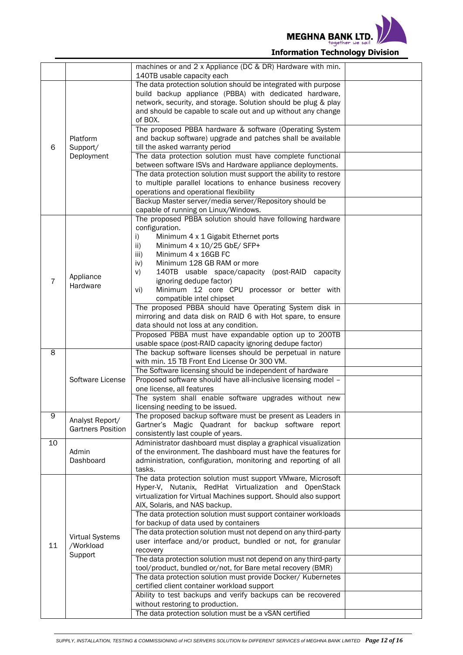

|                |                          | machines or and 2 x Appliance (DC & DR) Hardware with min.                                                                     |  |
|----------------|--------------------------|--------------------------------------------------------------------------------------------------------------------------------|--|
|                |                          | 140TB usable capacity each<br>The data protection solution should be integrated with purpose                                   |  |
|                |                          | build backup appliance (PBBA) with dedicated hardware,                                                                         |  |
|                |                          | network, security, and storage. Solution should be plug & play                                                                 |  |
|                |                          | and should be capable to scale out and up without any change                                                                   |  |
|                |                          | of BOX.                                                                                                                        |  |
|                |                          | The proposed PBBA hardware & software (Operating System                                                                        |  |
|                | Platform                 | and backup software) upgrade and patches shall be available                                                                    |  |
| 6              | Support/                 | till the asked warranty period                                                                                                 |  |
|                | Deployment               | The data protection solution must have complete functional                                                                     |  |
|                |                          | between software ISVs and Hardware appliance deployments.                                                                      |  |
|                |                          | The data protection solution must support the ability to restore                                                               |  |
|                |                          | to multiple parallel locations to enhance business recovery<br>operations and operational flexibility                          |  |
|                |                          | Backup Master server/media server/Repository should be                                                                         |  |
|                |                          | capable of running on Linux/Windows.                                                                                           |  |
|                |                          | The proposed PBBA solution should have following hardware                                                                      |  |
|                |                          | configuration.                                                                                                                 |  |
|                |                          | i)<br>Minimum 4 x 1 Gigabit Ethernet ports                                                                                     |  |
|                |                          | Minimum 4 x 10/25 GbE/ SFP+<br>ii)                                                                                             |  |
|                |                          | Minimum 4 x 16GB FC<br>iii)                                                                                                    |  |
|                |                          | Minimum 128 GB RAM or more<br>iv)                                                                                              |  |
| $\overline{7}$ | Appliance                | 140TB usable space/capacity (post-RAID capacity<br>V)                                                                          |  |
|                | Hardware                 | ignoring dedupe factor)<br>Minimum 12 core CPU processor or better with<br>vi)                                                 |  |
|                |                          | compatible intel chipset                                                                                                       |  |
|                |                          | The proposed PBBA should have Operating System disk in                                                                         |  |
|                |                          | mirroring and data disk on RAID 6 with Hot spare, to ensure                                                                    |  |
|                |                          | data should not loss at any condition.                                                                                         |  |
|                |                          | Proposed PBBA must have expandable option up to 200TB                                                                          |  |
|                |                          | usable space (post-RAID capacity ignoring dedupe factor)                                                                       |  |
| 8              |                          | The backup software licenses should be perpetual in nature                                                                     |  |
|                |                          | with min. 15 TB Front End License Or 300 VM.<br>The Software licensing should be independent of hardware                       |  |
|                | Software License         | Proposed software should have all-inclusive licensing model -                                                                  |  |
|                |                          | one license, all features                                                                                                      |  |
|                |                          | The system shall enable software upgrades without new                                                                          |  |
|                |                          | licensing needing to be issued.                                                                                                |  |
| $\overline{9}$ | Analyst Report/          | The proposed backup software must be present as Leaders in                                                                     |  |
|                | <b>Gartners Position</b> | Gartner's Magic Quadrant for backup software report                                                                            |  |
|                |                          | consistently last couple of years.                                                                                             |  |
| 10             |                          | Administrator dashboard must display a graphical visualization                                                                 |  |
|                | Admin<br>Dashboard       | of the environment. The dashboard must have the features for<br>administration, configuration, monitoring and reporting of all |  |
|                |                          | tasks.                                                                                                                         |  |
|                |                          | The data protection solution must support VMware, Microsoft                                                                    |  |
|                |                          | Hyper-V, Nutanix, RedHat Virtualization and OpenStack                                                                          |  |
|                |                          | virtualization for Virtual Machines support. Should also support                                                               |  |
|                |                          | AIX, Solaris, and NAS backup.                                                                                                  |  |
|                |                          | The data protection solution must support container workloads                                                                  |  |
|                |                          | for backup of data used by containers                                                                                          |  |
|                | <b>Virtual Systems</b>   | The data protection solution must not depend on any third-party                                                                |  |
| 11             | /Workload                | user interface and/or product, bundled or not, for granular<br>recovery                                                        |  |
|                | Support                  | The data protection solution must not depend on any third-party                                                                |  |
|                |                          | tool/product, bundled or/not, for Bare metal recovery (BMR)                                                                    |  |
|                |                          | The data protection solution must provide Docker/ Kubernetes                                                                   |  |
|                |                          | certified client container workload support                                                                                    |  |
|                |                          | Ability to test backups and verify backups can be recovered                                                                    |  |
|                |                          | without restoring to production.                                                                                               |  |
|                |                          | The data protection solution must be a vSAN certified                                                                          |  |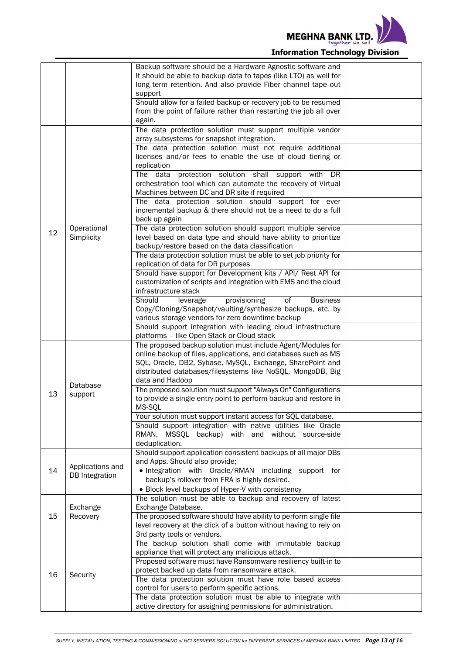

|    |                           | Backup software should be a Hardware Agnostic software and<br>It should be able to backup data to tapes (like LTO) as well for<br>long term retention. And also provide Fiber channel tape out<br>support |  |
|----|---------------------------|-----------------------------------------------------------------------------------------------------------------------------------------------------------------------------------------------------------|--|
|    |                           | Should allow for a failed backup or recovery job to be resumed<br>from the point of failure rather than restarting the job all over<br>again.                                                             |  |
|    |                           | The data protection solution must support multiple vendor                                                                                                                                                 |  |
|    |                           | array subsystems for snapshot integration.                                                                                                                                                                |  |
|    | Operational<br>Simplicity | The data protection solution must not require additional<br>licenses and/or fees to enable the use of cloud tiering or<br>replication                                                                     |  |
|    |                           | protection solution shall support<br>The data<br>with<br>DR<br>orchestration tool which can automate the recovery of Virtual<br>Machines between DC and DR site if required                               |  |
|    |                           | The data protection solution should support for ever<br>incremental backup & there should not be a need to do a full<br>back up again                                                                     |  |
| 12 |                           | The data protection solution should support multiple service<br>level based on data type and should have ability to prioritize<br>backup/restore based on the data classification                         |  |
|    |                           | The data protection solution must be able to set job priority for<br>replication of data for DR purposes                                                                                                  |  |
|    |                           | Should have support for Development kits / API/ Rest API for<br>customization of scripts and integration with EMS and the cloud<br>infrastructure stack                                                   |  |
|    |                           | Should<br>provisioning<br><b>Business</b><br>leverage<br>οf                                                                                                                                               |  |
|    |                           | Copy/Cloning/Snapshot/vaulting/synthesize backups, etc. by<br>various storage vendors for zero downtime backup                                                                                            |  |
|    |                           | Should support integration with leading cloud infrastructure                                                                                                                                              |  |
|    |                           | platforms - like Open Stack or Cloud stack                                                                                                                                                                |  |
|    | Database<br>support       | The proposed backup solution must include Agent/Modules for<br>online backup of files, applications, and databases such as MS                                                                             |  |
|    |                           | SQL, Oracle, DB2, Sybase, MySQL, Exchange, SharePoint and                                                                                                                                                 |  |
|    |                           | distributed databases/filesystems like NoSQL, MongoDB, Big<br>data and Hadoop                                                                                                                             |  |
|    |                           | The proposed solution must support "Always On" Configurations                                                                                                                                             |  |
| 13 |                           | to provide a single entry point to perform backup and restore in<br>MS-SQL                                                                                                                                |  |
|    |                           | Your solution must support instant access for SQL database.                                                                                                                                               |  |
|    |                           | Should support integration with native utilities like Oracle<br>RMAN, MSSQL backup) with and without source-side                                                                                          |  |
|    |                           | deduplication.                                                                                                                                                                                            |  |
|    | Applications and          | Should support application consistent backups of all major DBs<br>and Apps. Should also provide;                                                                                                          |  |
| 14 | DB Integration            | . Integration with Oracle/RMAN including support for<br>backup's rollover from FRA is highly desired.                                                                                                     |  |
|    |                           | • Block level backups of Hyper-V with consistency                                                                                                                                                         |  |
|    | Exchange                  | The solution must be able to backup and recovery of latest<br>Exchange Database.                                                                                                                          |  |
| 15 | Recovery                  | The proposed software should have ability to perform single file                                                                                                                                          |  |
|    |                           | level recovery at the click of a button without having to rely on<br>3rd party tools or vendors.                                                                                                          |  |
|    | Security                  | The backup solution shall come with immutable backup<br>appliance that will protect any malicious attack.                                                                                                 |  |
|    |                           | Proposed software must have Ransomware resiliency built-in to                                                                                                                                             |  |
| 16 |                           | protect backed up data from ransomware attack.                                                                                                                                                            |  |
|    |                           | The data protection solution must have role based access<br>control for users to perform specific actions.                                                                                                |  |
|    |                           | The data protection solution must be able to integrate with                                                                                                                                               |  |
|    |                           | active directory for assigning permissions for administration.                                                                                                                                            |  |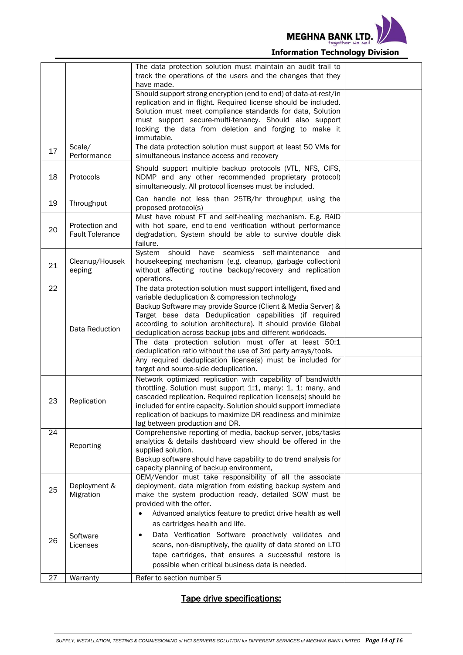

|    |                                          | The data protection solution must maintain an audit trail to<br>track the operations of the users and the changes that they<br>have made.                                                                                                                                                                                                                          |  |
|----|------------------------------------------|--------------------------------------------------------------------------------------------------------------------------------------------------------------------------------------------------------------------------------------------------------------------------------------------------------------------------------------------------------------------|--|
|    |                                          | Should support strong encryption (end to end) of data-at-rest/in<br>replication and in flight. Required license should be included.<br>Solution must meet compliance standards for data, Solution<br>must support secure-multi-tenancy. Should also support<br>locking the data from deletion and forging to make it<br>immutable.                                 |  |
| 17 | Scale/<br>Performance                    | The data protection solution must support at least 50 VMs for<br>simultaneous instance access and recovery                                                                                                                                                                                                                                                         |  |
| 18 | Protocols                                | Should support multiple backup protocols (VTL, NFS, CIFS,<br>NDMP and any other recommended proprietary protocol)<br>simultaneously. All protocol licenses must be included.                                                                                                                                                                                       |  |
| 19 | Throughput                               | Can handle not less than 25TB/hr throughput using the<br>proposed protocol(s)                                                                                                                                                                                                                                                                                      |  |
| 20 | Protection and<br><b>Fault Tolerance</b> | Must have robust FT and self-healing mechanism. E.g. RAID<br>with hot spare, end-to-end verification without performance<br>degradation, System should be able to survive double disk<br>failure.                                                                                                                                                                  |  |
| 21 | Cleanup/Housek<br>eeping                 | System<br>have seamless self-maintenance<br>should<br>and<br>housekeeping mechanism (e.g. cleanup, garbage collection)<br>without affecting routine backup/recovery and replication<br>operations.                                                                                                                                                                 |  |
| 22 |                                          | The data protection solution must support intelligent, fixed and<br>variable deduplication & compression technology                                                                                                                                                                                                                                                |  |
|    | Data Reduction                           | Backup Software may provide Source (Client & Media Server) &<br>Target base data Deduplication capabilities (if required<br>according to solution architecture). It should provide Global<br>deduplication across backup jobs and different workloads.                                                                                                             |  |
|    |                                          | The data protection solution must offer at least 50:1<br>deduplication ratio without the use of 3rd party arrays/tools.                                                                                                                                                                                                                                            |  |
|    |                                          | Any required deduplication license(s) must be included for<br>target and source-side deduplication.                                                                                                                                                                                                                                                                |  |
| 23 | Replication                              | Network optimized replication with capability of bandwidth<br>throttling. Solution must support 1:1, many: 1, 1: many, and<br>cascaded replication. Required replication license(s) should be<br>included for entire capacity. Solution should support immediate<br>replication of backups to maximize DR readiness and minimize<br>lag between production and DR. |  |
| 24 | Reporting                                | Comprehensive reporting of media, backup server, jobs/tasks<br>analytics & details dashboard view should be offered in the<br>supplied solution.<br>Backup software should have capability to do trend analysis for<br>capacity planning of backup environment,                                                                                                    |  |
| 25 | Deployment &<br>Migration                | OEM/Vendor must take responsibility of all the associate<br>deployment, data migration from existing backup system and<br>make the system production ready, detailed SOW must be<br>provided with the offer.                                                                                                                                                       |  |
| 26 | Software<br>Licenses                     | Advanced analytics feature to predict drive health as well<br>$\bullet$<br>as cartridges health and life.<br>Data Verification Software proactively validates and<br>$\bullet$<br>scans, non-disruptively, the quality of data stored on LTO<br>tape cartridges, that ensures a successful restore is<br>possible when critical business data is needed.           |  |
| 27 | Warranty                                 | Refer to section number 5                                                                                                                                                                                                                                                                                                                                          |  |

### Tape drive specifications: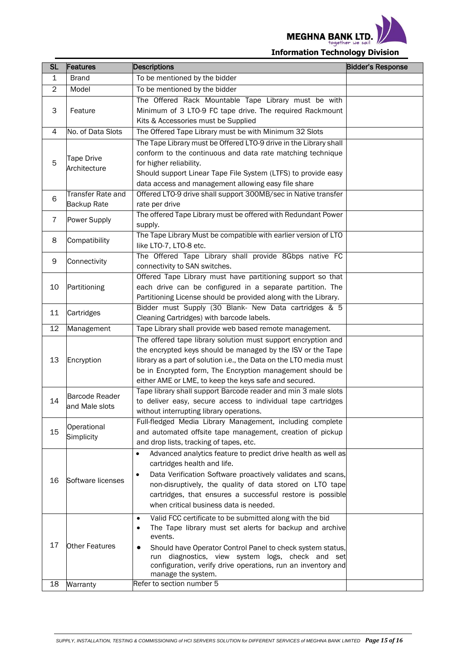

| <b>SL</b>      | Features<br><b>Descriptions</b>         | <b>Bidder's Response</b>                                                                                         |  |
|----------------|-----------------------------------------|------------------------------------------------------------------------------------------------------------------|--|
| 1              | <b>Brand</b>                            | To be mentioned by the bidder                                                                                    |  |
| $\overline{c}$ | Model                                   | To be mentioned by the bidder                                                                                    |  |
|                |                                         | The Offered Rack Mountable Tape Library must be with                                                             |  |
| 3              | Feature                                 | Minimum of 3 LTO-9 FC tape drive. The required Rackmount                                                         |  |
|                |                                         | Kits & Accessories must be Supplied                                                                              |  |
| 4              | No. of Data Slots                       | The Offered Tape Library must be with Minimum 32 Slots                                                           |  |
|                |                                         | The Tape Library must be Offered LTO-9 drive in the Library shall                                                |  |
|                | <b>Tape Drive</b>                       | conform to the continuous and data rate matching technique                                                       |  |
| 5              | Architecture                            | for higher reliability.                                                                                          |  |
|                |                                         | Should support Linear Tape File System (LTFS) to provide easy                                                    |  |
|                |                                         | data access and management allowing easy file share                                                              |  |
| 6              | Transfer Rate and                       | Offered LTO-9 drive shall support 300MB/sec in Native transfer                                                   |  |
|                | Backup Rate                             | rate per drive                                                                                                   |  |
| 7              | Power Supply                            | The offered Tape Library must be offered with Redundant Power                                                    |  |
|                |                                         | supply.<br>The Tape Library Must be compatible with earlier version of LTO                                       |  |
| 8              | Compatibility                           | like LTO-7, LTO-8 etc.                                                                                           |  |
|                |                                         | The Offered Tape Library shall provide 8Gbps native FC                                                           |  |
| 9              | Connectivity                            | connectivity to SAN switches.                                                                                    |  |
|                |                                         | Offered Tape Library must have partitioning support so that                                                      |  |
| 10             | Partitioning                            | each drive can be configured in a separate partition. The                                                        |  |
|                |                                         | Partitioning License should be provided along with the Library.                                                  |  |
|                |                                         | Bidder must Supply (30 Blank- New Data cartridges & 5                                                            |  |
| 11             | Cartridges                              | Cleaning Cartridges) with barcode labels.                                                                        |  |
| 12             | Management                              | Tape Library shall provide web based remote management.                                                          |  |
|                |                                         | The offered tape library solution must support encryption and                                                    |  |
|                |                                         | the encrypted keys should be managed by the ISV or the Tape                                                      |  |
| 13             | Encryption                              | library as a part of solution i.e., the Data on the LTO media must                                               |  |
|                |                                         | be in Encrypted form, The Encryption management should be                                                        |  |
|                |                                         | either AME or LME, to keep the keys safe and secured.                                                            |  |
| 14             | <b>Barcode Reader</b><br>and Male slots | Tape library shall support Barcode reader and min 3 male slots                                                   |  |
|                |                                         | to deliver easy, secure access to individual tape cartridges<br>without interrupting library operations.         |  |
|                |                                         | Full-fledged Media Library Management, including complete                                                        |  |
| 15             | Operational<br>Simplicity               | and automated offsite tape management, creation of pickup                                                        |  |
|                |                                         | and drop lists, tracking of tapes, etc.                                                                          |  |
|                |                                         | Advanced analytics feature to predict drive health as well as<br>$\bullet$                                       |  |
|                |                                         | cartridges health and life.                                                                                      |  |
|                |                                         | Data Verification Software proactively validates and scans,<br>$\bullet$                                         |  |
| 16             | Software licenses                       | non-disruptively, the quality of data stored on LTO tape                                                         |  |
|                |                                         | cartridges, that ensures a successful restore is possible                                                        |  |
|                |                                         | when critical business data is needed.                                                                           |  |
|                |                                         | Valid FCC certificate to be submitted along with the bid<br>٠                                                    |  |
|                |                                         | The Tape library must set alerts for backup and archive<br>٠                                                     |  |
| 17             |                                         | events.                                                                                                          |  |
|                | Other Features                          | Should have Operator Control Panel to check system status,                                                       |  |
|                |                                         | run diagnostics, view system logs, check and set<br>configuration, verify drive operations, run an inventory and |  |
|                |                                         | manage the system.                                                                                               |  |
| 18             | Warranty                                | Refer to section number 5                                                                                        |  |